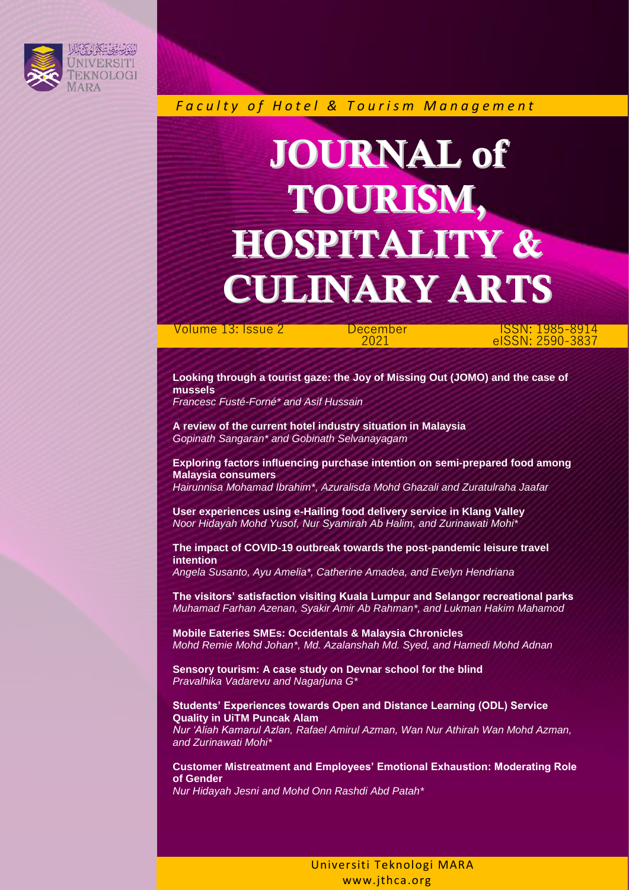

 *F a c u l t y o f H o t e l & T o u r i s m M a n a g e m e n t*

## JOURNAL of TOURISM, HOSPITALITY & CULINARY ARTS

Volume 13: Issue 2 December

2021

ISSN: 1985-8914 eISSN: 2590-3837

**Looking through a tourist gaze: the Joy of Missing Out (JOMO) and the case of mussels**

*Francesc Fusté-Forné\* and Asif Hussain*

**A review of the current hotel industry situation in Malaysia** *Gopinath Sangaran\* and Gobinath Selvanayagam*

**Exploring factors influencing purchase intention on semi-prepared food among Malaysia consumers**

*Hairunnisa Mohamad Ibrahim\*, Azuralisda Mohd Ghazali and Zuratulraha Jaafar*

**User experiences using e-Hailing food delivery service in Klang Valley**  *Noor Hidayah Mohd Yusof, Nur Syamirah Ab Halim, and Zurinawati Mohi\**

**The impact of COVID-19 outbreak towards the post-pandemic leisure travel intention**

*Angela Susanto, Ayu Amelia\*, Catherine Amadea, and Evelyn Hendriana*

**The visitors' satisfaction visiting Kuala Lumpur and Selangor recreational parks** *Muhamad Farhan Azenan, Syakir Amir Ab Rahman\*, and Lukman Hakim Mahamod*

**Mobile Eateries SMEs: Occidentals & Malaysia Chronicles** *Mohd Remie Mohd Johan\*, Md. Azalanshah Md. Syed, and Hamedi Mohd Adnan*

**Sensory tourism: A case study on Devnar school for the blind**  *Pravalhika Vadarevu and Nagarjuna G\**

**Students' Experiences towards Open and Distance Learning (ODL) Service Quality in UiTM Puncak Alam** *Nur 'Aliah Kamarul Azlan, Rafael Amirul Azman, Wan Nur Athirah Wan Mohd Azman,* 

*and Zurinawati Mohi\**

**Customer Mistreatment and Employees' Emotional Exhaustion: Moderating Role of Gender**

*Nur Hidayah Jesni and Mohd Onn Rashdi Abd Patah\**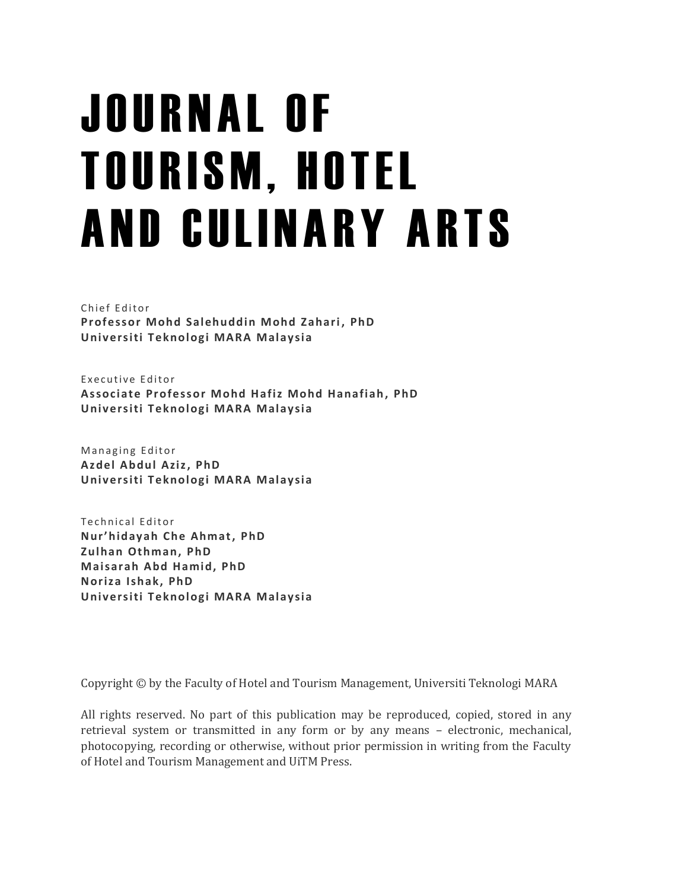# J O U R N A L O F **TOURISM, HOTEL** AND CULINARY ARTS

Chief Editor **Professor Mohd Salehuddin Mohd Zahari , PhD Univ ersiti T eknologi MARA Malaysia**

Executive Editor **Assoc iate Professor Mohd Hafiz Mohd Hanafiah, PhD Univ ersiti T eknologi MARA Malaysia**

Managing Editor **Az del Abdul Aziz, PhD Univ ersiti T eknologi MARA Malaysia**

Technical Editor **Nur'hidayah Che Ahmat, PhD Zulhan Othman, PhD Maisarah Abd Hamid, PhD Noriza Ishak, PhD Univ ersiti T eknologi MARA Malaysia**

Copyright © by the Faculty of Hotel and Tourism Management, Universiti Teknologi MARA

All rights reserved. No part of this publication may be reproduced, copied, stored in any retrieval system or transmitted in any form or by any means – electronic, mechanical, photocopying, recording or otherwise, without prior permission in writing from the Faculty of Hotel and Tourism Management and UiTM Press.